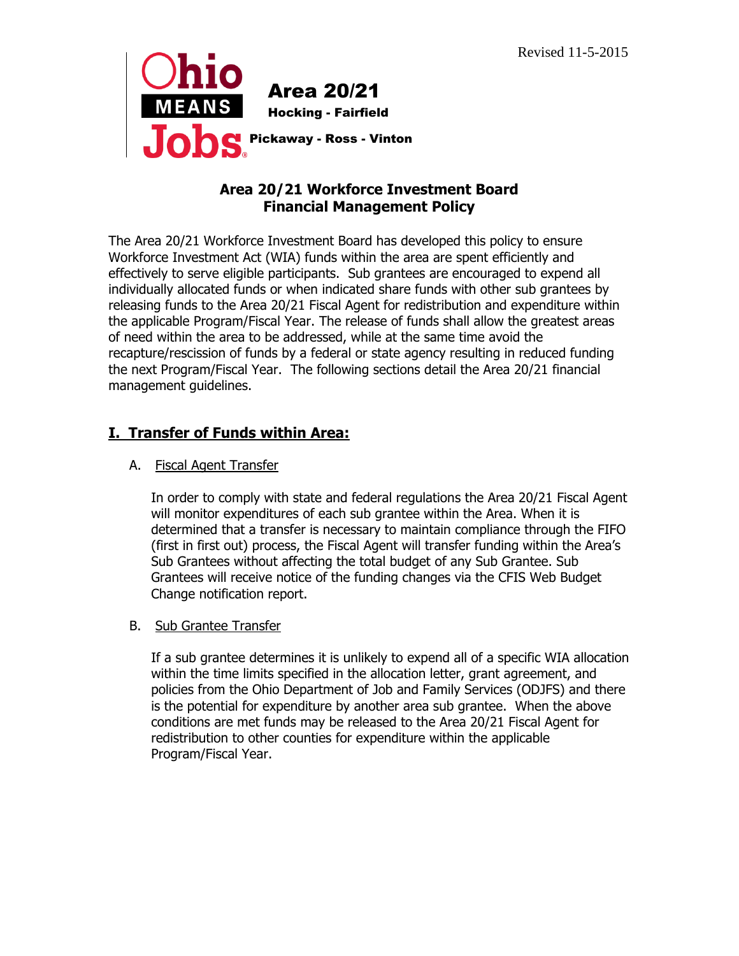

### **Area 20/21 Workforce Investment Board Financial Management Policy**

The Area 20/21 Workforce Investment Board has developed this policy to ensure Workforce Investment Act (WIA) funds within the area are spent efficiently and effectively to serve eligible participants. Sub grantees are encouraged to expend all individually allocated funds or when indicated share funds with other sub grantees by releasing funds to the Area 20/21 Fiscal Agent for redistribution and expenditure within the applicable Program/Fiscal Year. The release of funds shall allow the greatest areas of need within the area to be addressed, while at the same time avoid the recapture/rescission of funds by a federal or state agency resulting in reduced funding the next Program/Fiscal Year. The following sections detail the Area 20/21 financial management guidelines.

# **I. Transfer of Funds within Area:**

### A. Fiscal Agent Transfer

In order to comply with state and federal regulations the Area 20/21 Fiscal Agent will monitor expenditures of each sub grantee within the Area. When it is determined that a transfer is necessary to maintain compliance through the FIFO (first in first out) process, the Fiscal Agent will transfer funding within the Area's Sub Grantees without affecting the total budget of any Sub Grantee. Sub Grantees will receive notice of the funding changes via the CFIS Web Budget Change notification report.

### B. Sub Grantee Transfer

If a sub grantee determines it is unlikely to expend all of a specific WIA allocation within the time limits specified in the allocation letter, grant agreement, and policies from the Ohio Department of Job and Family Services (ODJFS) and there is the potential for expenditure by another area sub grantee. When the above conditions are met funds may be released to the Area 20/21 Fiscal Agent for redistribution to other counties for expenditure within the applicable Program/Fiscal Year.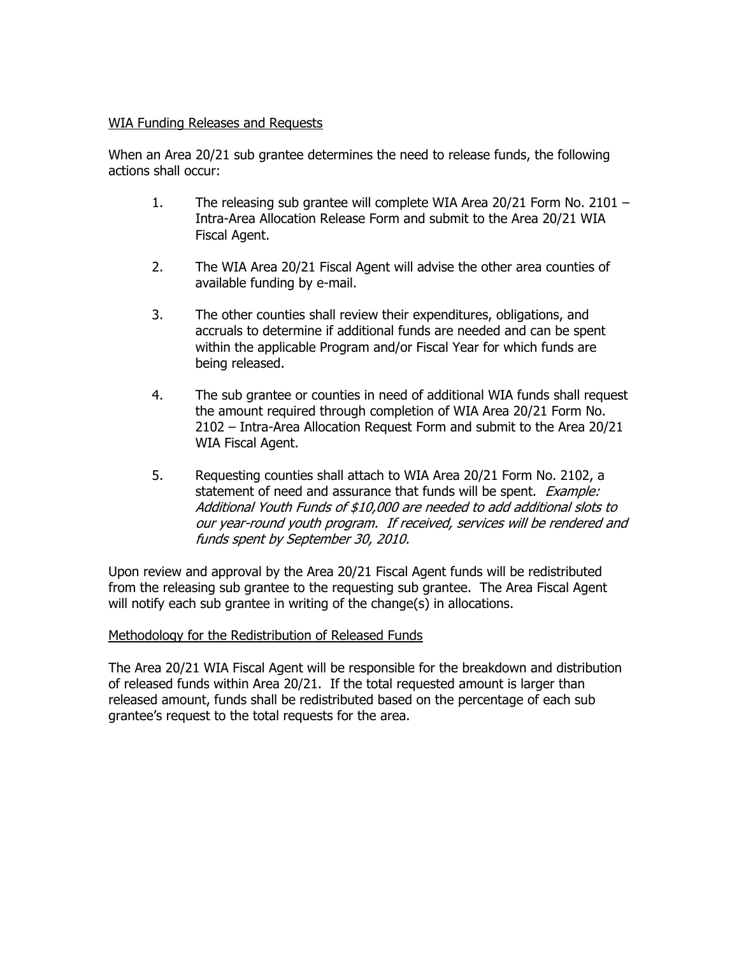#### WIA Funding Releases and Requests

When an Area 20/21 sub grantee determines the need to release funds, the following actions shall occur:

- 1. The releasing sub grantee will complete WIA Area 20/21 Form No. 2101 Intra-Area Allocation Release Form and submit to the Area 20/21 WIA Fiscal Agent.
- 2. The WIA Area 20/21 Fiscal Agent will advise the other area counties of available funding by e-mail.
- 3. The other counties shall review their expenditures, obligations, and accruals to determine if additional funds are needed and can be spent within the applicable Program and/or Fiscal Year for which funds are being released.
- 4. The sub grantee or counties in need of additional WIA funds shall request the amount required through completion of WIA Area 20/21 Form No. 2102 – Intra-Area Allocation Request Form and submit to the Area 20/21 WIA Fiscal Agent.
- 5. Requesting counties shall attach to WIA Area 20/21 Form No. 2102, a statement of need and assurance that funds will be spent. *Example:* Additional Youth Funds of \$10,000 are needed to add additional slots to our year-round youth program. If received, services will be rendered and funds spent by September 30, 2010.

Upon review and approval by the Area 20/21 Fiscal Agent funds will be redistributed from the releasing sub grantee to the requesting sub grantee. The Area Fiscal Agent will notify each sub grantee in writing of the change(s) in allocations.

#### Methodology for the Redistribution of Released Funds

The Area 20/21 WIA Fiscal Agent will be responsible for the breakdown and distribution of released funds within Area 20/21. If the total requested amount is larger than released amount, funds shall be redistributed based on the percentage of each sub grantee's request to the total requests for the area.